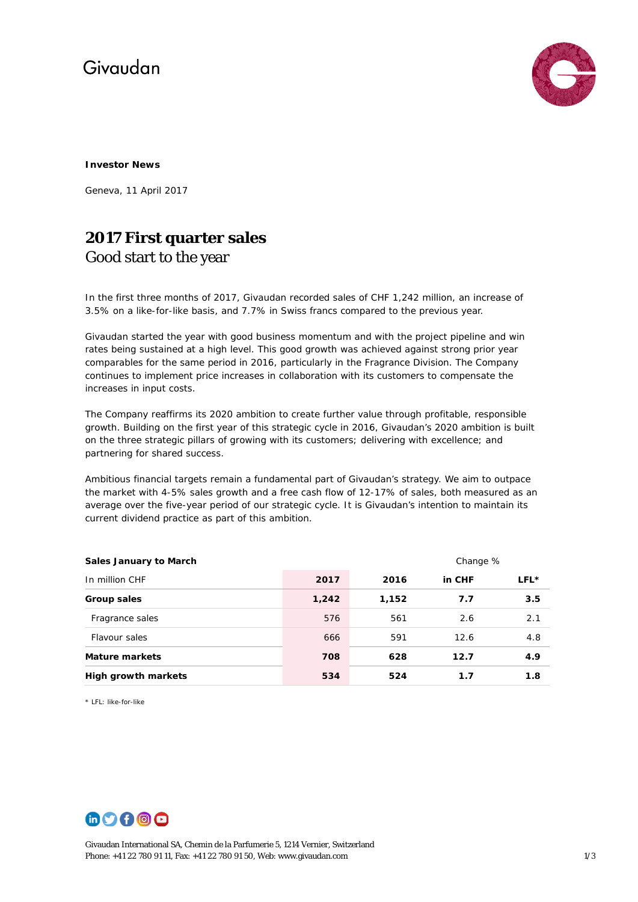# Givaudan



#### **Investor News**

Geneva, 11 April 2017

### **2017 First quarter sales**  Good start to the year

In the first three months of 2017, Givaudan recorded sales of CHF 1,242 million, an increase of 3.5% on a like-for-like basis, and 7.7% in Swiss francs compared to the previous year.

Givaudan started the year with good business momentum and with the project pipeline and win rates being sustained at a high level. This good growth was achieved against strong prior year comparables for the same period in 2016, particularly in the Fragrance Division. The Company continues to implement price increases in collaboration with its customers to compensate the increases in input costs.

The Company reaffirms its 2020 ambition to create further value through profitable, responsible growth. Building on the first year of this strategic cycle in 2016, Givaudan's 2020 ambition is built on the three strategic pillars of growing with its customers; delivering with excellence; and partnering for shared success.

Ambitious financial targets remain a fundamental part of Givaudan's strategy. We aim to outpace the market with 4-5% sales growth and a free cash flow of 12-17% of sales, both measured as an average over the five-year period of our strategic cycle. It is Givaudan's intention to maintain its current dividend practice as part of this ambition.

| <b>Sales January to March</b> |       | Change % |        |      |
|-------------------------------|-------|----------|--------|------|
| In million CHF                | 2017  | 2016     | in CHF | LFL* |
| Group sales                   | 1,242 | 1,152    | 7.7    | 3.5  |
| Fragrance sales               | 576   | 561      | 2.6    | 2.1  |
| Flavour sales                 | 666   | 591      | 12.6   | 4.8  |
| <b>Mature markets</b>         | 708   | 628      | 12.7   | 4.9  |
| <b>High growth markets</b>    | 534   | 524      | 1.7    | 1.8  |

\* LFL: like-for-like



Givaudan International SA, Chemin de la Parfumerie 5, 1214 Vernier, Switzerland Phone: +41 22 780 91 11, Fax: +41 22 780 91 50, Web[: www.givaudan.com](http://www.givaudan.com/) 1/3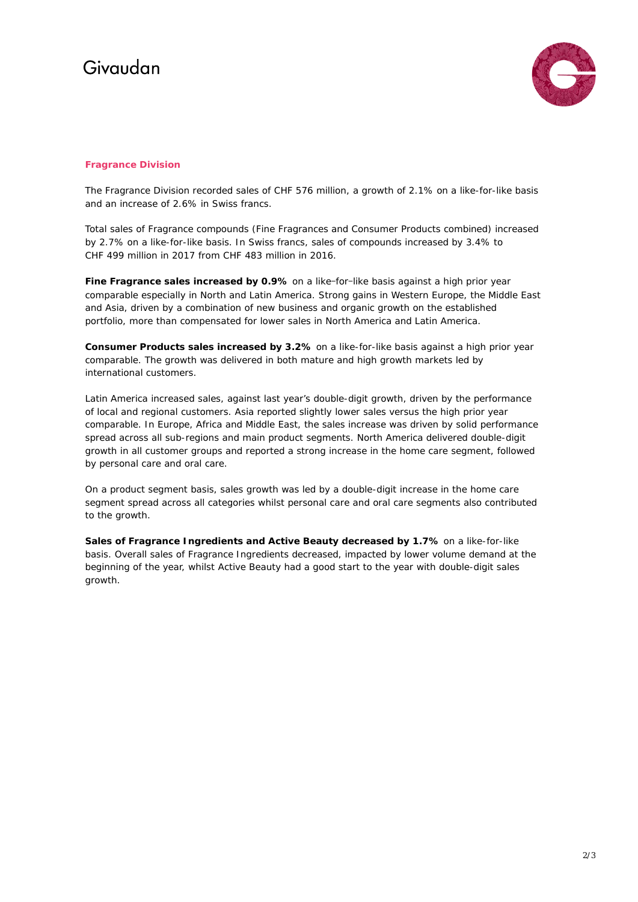# Givaudan



### **Fragrance Division**

The Fragrance Division recorded sales of CHF 576 million, a growth of 2.1% on a like-for-like basis and an increase of 2.6% in Swiss francs.

Total sales of Fragrance compounds (Fine Fragrances and Consumer Products combined) increased by 2.7% on a like-for-like basis. In Swiss francs, sales of compounds increased by 3.4% to CHF 499 million in 2017 from CHF 483 million in 2016.

**Fine Fragrance sales increased by 0.9%** on a like-for-like basis against a high prior year comparable especially in North and Latin America. Strong gains in Western Europe, the Middle East and Asia, driven by a combination of new business and organic growth on the established portfolio, more than compensated for lower sales in North America and Latin America.

**Consumer Products sales increased by 3.2%** on a like-for-like basis against a high prior year comparable. The growth was delivered in both mature and high growth markets led by international customers.

Latin America increased sales, against last year's double-digit growth, driven by the performance of local and regional customers. Asia reported slightly lower sales versus the high prior year comparable. In Europe, Africa and Middle East, the sales increase was driven by solid performance spread across all sub-regions and main product segments. North America delivered double-digit growth in all customer groups and reported a strong increase in the home care segment, followed by personal care and oral care.

On a product segment basis, sales growth was led by a double-digit increase in the home care segment spread across all categories whilst personal care and oral care segments also contributed to the growth.

**Sales of Fragrance Ingredients and Active Beauty decreased by 1.7%** on a like-for-like basis. Overall sales of Fragrance Ingredients decreased, impacted by lower volume demand at the beginning of the year, whilst Active Beauty had a good start to the year with double-digit sales growth.